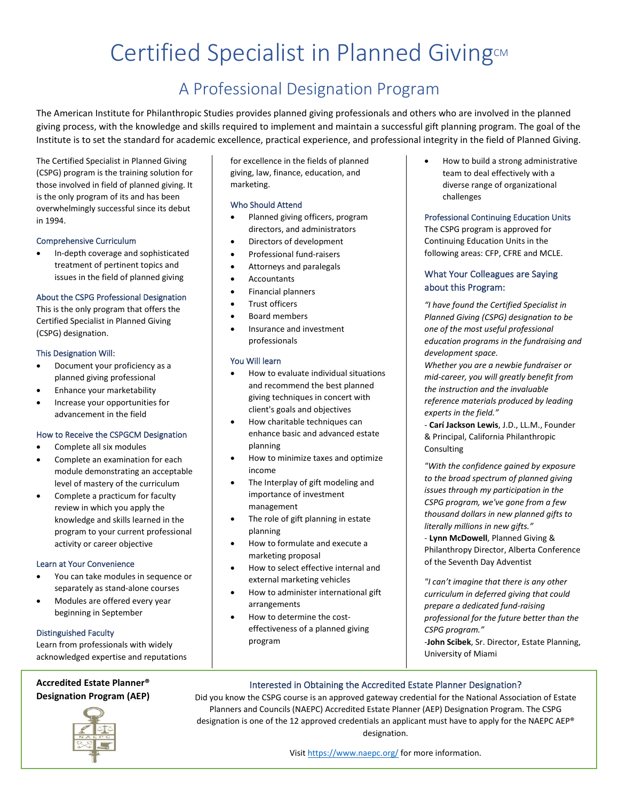# Certified Specialist in Planned Giving

## A Professional Designation Program

The American Institute for Philanthropic Studies provides planned giving professionals and others who are involved in the planned giving process, with the knowledge and skills required to implement and maintain a successful gift planning program. The goal of the Institute is to set the standard for academic excellence, practical experience, and professional integrity in the field of Planned Giving.

The Certified Specialist in Planned Giving (CSPG) program is the training solution for those involved in field of planned giving. It is the only program of its and has been overwhelmingly successful since its debut in 1994.

## Comprehensive Curriculum

• In-depth coverage and sophisticated treatment of pertinent topics and issues in the field of planned giving

#### About the CSPG Professional Designation

This is the only program that offers the Certified Specialist in Planned Giving (CSPG) designation.

#### This Designation Will:

- Document your proficiency as a planned giving professional
- Enhance your marketability
- Increase your opportunities for advancement in the field

## How to Receive the CSPGCM Designation

- Complete all six modules
- Complete an examination for each module demonstrating an acceptable level of mastery of the curriculum
- Complete a practicum for faculty review in which you apply the knowledge and skills learned in the program to your current professional activity or career objective

## Learn at Your Convenience

- You can take modules in sequence or separately as stand-alone courses
- Modules are offered every year beginning in September

## Distinguished Faculty

Learn from professionals with widely acknowledged expertise and reputations

**Accredited Estate Planner® Designation Program (AEP)**



for excellence in the fields of planned giving, law, finance, education, and marketing.

#### Who Should Attend

- Planned giving officers, program directors, and administrators
- Directors of development
- Professional fund-raisers
- Attorneys and paralegals
- Accountants
- Financial planners
- Trust officers
- Board members
- Insurance and investment professionals

## You Will learn

- How to evaluate individual situations and recommend the best planned giving techniques in concert with client's goals and objectives
- How charitable techniques can enhance basic and advanced estate planning
- How to minimize taxes and optimize income
- The Interplay of gift modeling and importance of investment management
- The role of gift planning in estate planning
- How to formulate and execute a marketing proposal
- How to select effective internal and external marketing vehicles
- How to administer international gift arrangements
- How to determine the costeffectiveness of a planned giving program

• How to build a strong administrative team to deal effectively with a diverse range of organizational challenges

#### Professional Continuing Education Units

The CSPG program is approved for Continuing Education Units in the following areas: CFP, CFRE and MCLE.

## What Your Colleagues are Saying about this Program:

*"I have found the Certified Specialist in Planned Giving (CSPG) designation to be one of the most useful professional education programs in the fundraising and development space.* 

*Whether you are a newbie fundraiser or mid-career, you will greatly benefit from the instruction and the invaluable reference materials produced by leading experts in the field."*

- **Carí Jackson Lewis**, J.D., LL.M., Founder & Principal, California Philanthropic **Consulting** 

*"With the confidence gained by exposure to the broad spectrum of planned giving issues through my participation in the CSPG program, we've gone from a few thousand dollars in new planned gifts to literally millions in new gifts."*

- **Lynn McDowell**, Planned Giving & Philanthropy Director, Alberta Conference of the Seventh Day Adventist

*"I can't imagine that there is any other curriculum in deferred giving that could prepare a dedicated fund-raising professional for the future better than the CSPG program."*

-**John Scibek**, Sr. Director, Estate Planning, University of Miami

## Interested in Obtaining the Accredited Estate Planner Designation?

Did you know the CSPG course is an approved gateway credential for the National Association of Estate Planners and Councils (NAEPC) Accredited Estate Planner (AEP) Designation Program. The CSPG designation is one of the 12 approved credentials an applicant must have to apply for the NAEPC AEP® designation.

Visi[t https://www.naepc.org/](https://www.naepc.org/) for more information.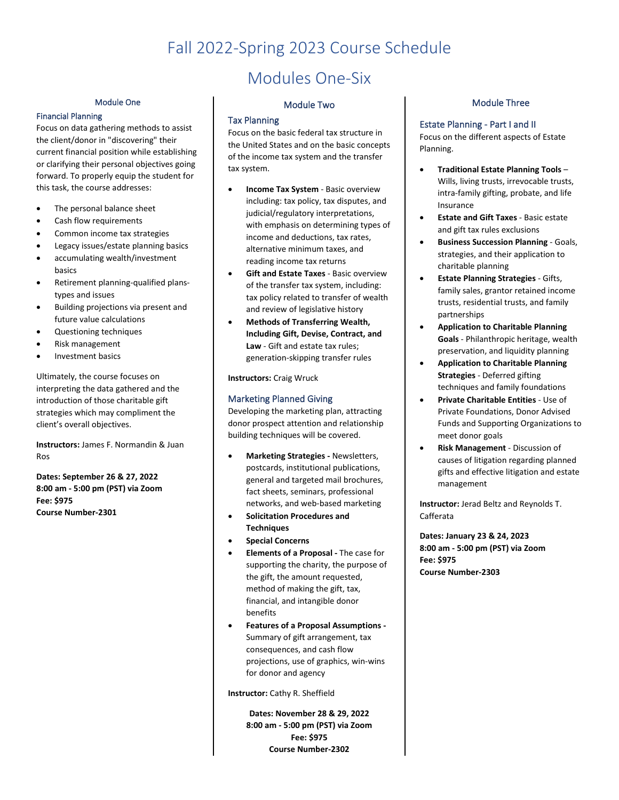## Fall 2022-Spring 2023 Course Schedule

#### Module One

#### Financial Planning

Focus on data gathering methods to assist the client/donor in "discovering" their current financial position while establishing or clarifying their personal objectives going forward. To properly equip the student for this task, the course addresses:

- The personal balance sheet
- Cash flow requirements
- Common income tax strategies
- Legacy issues/estate planning basics
- accumulating wealth/investment basics
- Retirement planning-qualified planstypes and issues
- Building projections via present and future value calculations
- Questioning techniques
- Risk management
- Investment basics

Ultimately, the course focuses on interpreting the data gathered and the introduction of those charitable gift strategies which may compliment the client's overall objectives.

**Instructors:** James F. Normandin & Juan Ros

**Dates: September 26 & 27, 2022 8:00 am - 5:00 pm (PST) via Zoom Fee: \$975 Course Number-2301**

## Modules One-Six

#### Module Two

#### Tax Planning

Focus on the basic federal tax structure in the United States and on the basic concepts of the income tax system and the transfer tax system.

- **Income Tax System** Basic overview including: tax policy, tax disputes, and judicial/regulatory interpretations, with emphasis on determining types of income and deductions, tax rates, alternative minimum taxes, and reading income tax returns
- **Gift and Estate Taxes** Basic overview of the transfer tax system, including: tax policy related to transfer of wealth and review of legislative history
- **Methods of Transferring Wealth, Including Gift, Devise, Contract, and Law** - Gift and estate tax rules; generation-skipping transfer rules

**Instructors:** Craig Wruck

## Marketing Planned Giving

Developing the marketing plan, attracting donor prospect attention and relationship building techniques will be covered.

- **Marketing Strategies -** Newsletters, postcards, institutional publications, general and targeted mail brochures, fact sheets, seminars, professional networks, and web-based marketing
- **Solicitation Procedures and Techniques**
- **Special Concerns**
- **Elements of a Proposal -** The case for supporting the charity, the purpose of the gift, the amount requested, method of making the gift, tax, financial, and intangible donor benefits
- **Features of a Proposal Assumptions -** Summary of gift arrangement, tax consequences, and cash flow projections, use of graphics, win-wins for donor and agency

**Instructor:** Cathy R. Sheffield

**Dates: November 28 & 29, 2022 8:00 am - 5:00 pm (PST) via Zoom Fee: \$975 Course Number-2302**

## Module Three

## Estate Planning - Part I and II

Focus on the different aspects of Estate Planning.

- **Traditional Estate Planning Tools** Wills, living trusts, irrevocable trusts, intra-family gifting, probate, and life Insurance
- **Estate and Gift Taxes** Basic estate and gift tax rules exclusions
- **Business Succession Planning** Goals, strategies, and their application to charitable planning
- **Estate Planning Strategies** Gifts, family sales, grantor retained income trusts, residential trusts, and family partnerships
- **Application to Charitable Planning Goals** - Philanthropic heritage, wealth preservation, and liquidity planning
- **Application to Charitable Planning Strategies** - Deferred gifting techniques and family foundations
- **Private Charitable Entities** Use of Private Foundations, Donor Advised Funds and Supporting Organizations to meet donor goals
- **Risk Management** Discussion of causes of litigation regarding planned gifts and effective litigation and estate management

**Instructor:** Jerad Beltz and Reynolds T. Cafferata

**Dates: January 23 & 24, 2023 8:00 am - 5:00 pm (PST) via Zoom Fee: \$975 Course Number-2303**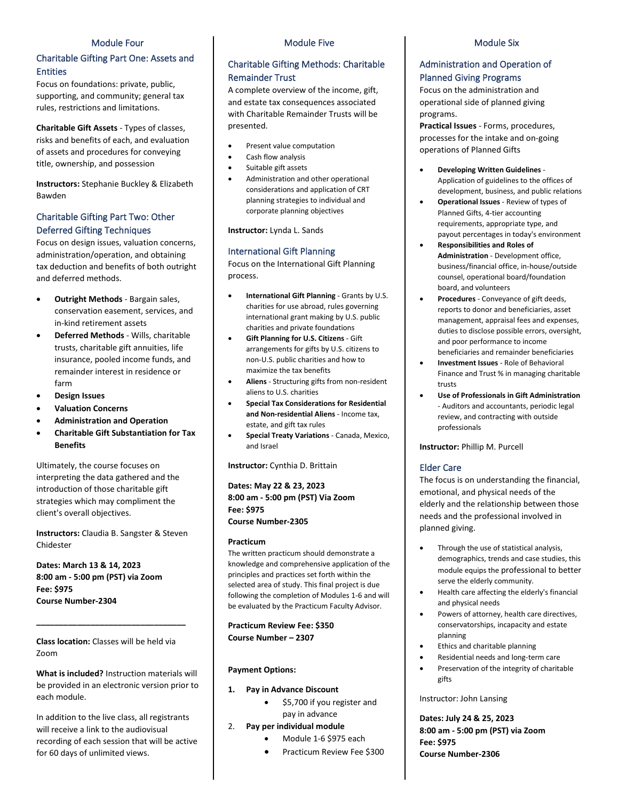#### Module Four

## Charitable Gifting Part One: Assets and Entities

Focus on foundations: private, public, supporting, and community; general tax rules, restrictions and limitations.

**Charitable Gift Assets** - Types of classes, risks and benefits of each, and evaluation of assets and procedures for conveying title, ownership, and possession

**Instructors:** Stephanie Buckley & Elizabeth Bawden

## Charitable Gifting Part Two: Other Deferred Gifting Techniques

Focus on design issues, valuation concerns, administration/operation, and obtaining tax deduction and benefits of both outright and deferred methods.

- **Outright Methods** Bargain sales, conservation easement, services, and in-kind retirement assets
- **Deferred Methods** Wills, charitable trusts, charitable gift annuities, life insurance, pooled income funds, and remainder interest in residence or farm
- **Design Issues**
- **Valuation Concerns**
- **Administration and Operation**
- **Charitable Gift Substantiation for Tax Benefits**

Ultimately, the course focuses on interpreting the data gathered and the introduction of those charitable gift strategies which may compliment the client's overall objectives.

**Instructors:** Claudia B. Sangster & Steven Chidester

**Dates: March 13 & 14, 2023 8:00 am - 5:00 pm (PST) via Zoom Fee: \$975 Course Number-2304** 

**Class location:** Classes will be held via Zoom

**\_\_\_\_\_\_\_\_\_\_\_\_\_\_\_\_\_\_\_\_\_\_\_\_\_\_\_\_\_\_\_\_\_**

**What is included?** Instruction materials will be provided in an electronic version prior to each module.

In addition to the live class, all registrants will receive a link to the audiovisual recording of each session that will be active for 60 days of unlimited views.

#### Module Five

## Charitable Gifting Methods: Charitable Remainder Trust

A complete overview of the income, gift, and estate tax consequences associated with Charitable Remainder Trusts will be presented.

- Present value computation
- Cash flow analysis
- Suitable gift assets
- Administration and other operational considerations and application of CRT planning strategies to individual and corporate planning objectives

**Instructor:** Lynda L. Sands

#### International Gift Planning

Focus on the International Gift Planning process.

- **International Gift Planning** Grants by U.S. charities for use abroad, rules governing international grant making by U.S. public charities and private foundations
- **Gift Planning for U.S. Citizens** Gift arrangements for gifts by U.S. citizens to non-U.S. public charities and how to maximize the tax benefits
- **Aliens**  Structuring gifts from non-resident aliens to U.S. charities
- **Special Tax Considerations for Residential and Non-residential Aliens** - Income tax, estate, and gift tax rules
- **Special Treaty Variations** Canada, Mexico, and Israel

**Instructor:** Cynthia D. Brittain

**Dates: May 22 & 23, 2023 8:00 am - 5:00 pm (PST) Via Zoom Fee: \$975 Course Number-2305** 

#### **Practicum**

The written practicum should demonstrate a knowledge and comprehensive application of the principles and practices set forth within the selected area of study. This final project is due following the completion of Modules 1-6 and will be evaluated by the Practicum Faculty Advisor.

**Practicum Review Fee: \$350 Course Number – 2307**

#### **Payment Options:**

- **1. Pay in Advance Discount**
	- \$5,700 if you register and
- pay in advance 2. **Pay per individual module**
	- Module 1-6 \$975 each
	-
	- Practicum Review Fee \$300

#### Module Six

## Administration and Operation of Planned Giving Programs

Focus on the administration and operational side of planned giving programs.

**Practical Issues** - Forms, procedures, processes for the intake and on-going operations of Planned Gifts

- **Developing Written Guidelines** Application of guidelines to the offices of development, business, and public relations
- **Operational Issues** Review of types of Planned Gifts, 4-tier accounting requirements, appropriate type, and payout percentages in today's environment
- **Responsibilities and Roles of Administration** - Development office, business/financial office, in-house/outside counsel, operational board/foundation board, and volunteers
- **Procedures** Conveyance of gift deeds, reports to donor and beneficiaries, asset management, appraisal fees and expenses, duties to disclose possible errors, oversight, and poor performance to income beneficiaries and remainder beneficiaries
- **Investment Issues** Role of Behavioral Finance and Trust % in managing charitable trusts
- **Use of Professionals in Gift Administration** - Auditors and accountants, periodic legal review, and contracting with outside professionals

**Instructor:** Phillip M. Purcell

## Elder Care

The focus is on understanding the financial, emotional, and physical needs of the elderly and the relationship between those needs and the professional involved in planned giving.

- Through the use of statistical analysis, demographics, trends and case studies, this module equips the professional to better serve the elderly community.
- Health care affecting the elderly's financial and physical needs
- Powers of attorney, health care directives, conservatorships, incapacity and estate planning
- Ethics and charitable planning
- Residential needs and long-term care
- Preservation of the integrity of charitable gifts

Instructor: John Lansing

**Dates: July 24 & 25, 2023 8:00 am - 5:00 pm (PST) via Zoom Fee: \$975 Course Number-2306**